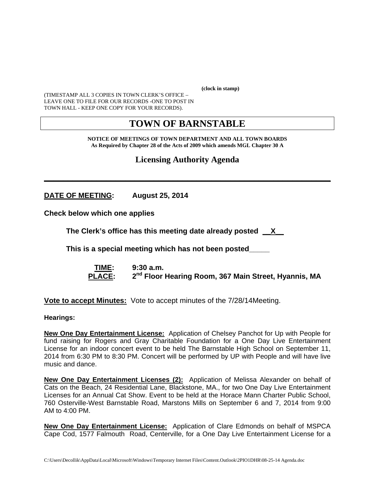**(clock in stamp)** 

(TIMESTAMP ALL 3 COPIES IN TOWN CLERK'S OFFICE – LEAVE ONE TO FILE FOR OUR RECORDS -ONE TO POST IN TOWN HALL - KEEP ONE COPY FOR YOUR RECORDS).

## **TOWN OF BARNSTABLE**

**NOTICE OF MEETINGS OF TOWN DEPARTMENT AND ALL TOWN BOARDS As Required by Chapter 28 of the Acts of 2009 which amends MGL Chapter 30 A** 

**Licensing Authority Agenda**

**\_\_\_\_\_\_\_\_\_\_\_\_\_\_\_\_\_\_\_\_\_\_\_\_\_\_\_\_\_\_\_\_\_\_\_\_\_\_\_\_\_\_\_\_\_\_\_\_\_\_\_\_\_\_\_\_\_\_\_\_** 

**DATE OF MEETING: August 25, 2014** 

**Check below which one applies** 

**The Clerk's office has this meeting date already posted \_\_X\_\_** 

 **This is a special meeting which has not been posted\_\_\_\_\_** 

 **TIME: 9:30 a.m. PLACE: 2nd Floor Hearing Room, 367 Main Street, Hyannis, MA**

**Vote to accept Minutes:** Vote to accept minutes of the 7/28/14Meeting.

**Hearings:** 

**New One Day Entertainment License:** Application of Chelsey Panchot for Up with People for fund raising for Rogers and Gray Charitable Foundation for a One Day Live Entertainment License for an indoor concert event to be held The Barnstable High School on September 11, 2014 from 6:30 PM to 8:30 PM. Concert will be performed by UP with People and will have live music and dance.

**New One Day Entertainment Licenses (2):** Application of Melissa Alexander on behalf of Cats on the Beach, 24 Residential Lane, Blackstone, MA., for two One Day Live Entertainment Licenses for an Annual Cat Show. Event to be held at the Horace Mann Charter Public School, 760 Osterville-West Barnstable Road, Marstons Mills on September 6 and 7, 2014 from 9:00 AM to 4:00 PM.

**New One Day Entertainment License:** Application of Clare Edmonds on behalf of MSPCA Cape Cod, 1577 Falmouth Road, Centerville, for a One Day Live Entertainment License for a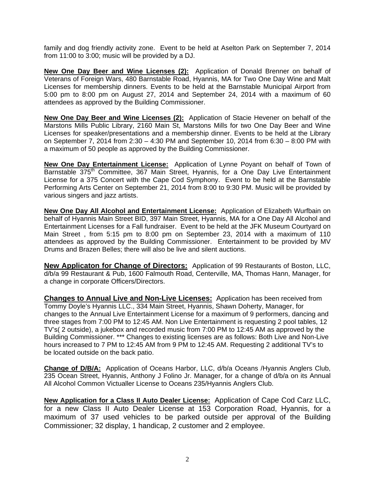family and dog friendly activity zone. Event to be held at Aselton Park on September 7, 2014 from 11:00 to 3:00; music will be provided by a DJ.

**New One Day Beer and Wine Licenses (2):** Application of Donald Brenner on behalf of Veterans of Foreign Wars, 480 Barnstable Road, Hyannis, MA for Two One Day Wine and Malt Licenses for membership dinners. Events to be held at the Barnstable Municipal Airport from 5:00 pm to 8:00 pm on August 27, 2014 and September 24, 2014 with a maximum of 60 attendees as approved by the Building Commissioner.

**New One Day Beer and Wine Licenses (2):** Application of Stacie Hevener on behalf of the Marstons Mills Public Library, 2160 Main St, Marstons Mills for two One Day Beer and Wine Licenses for speaker/presentations and a membership dinner. Events to be held at the Library on September 7, 2014 from 2:30 – 4:30 PM and September 10, 2014 from 6:30 – 8:00 PM with a maximum of 50 people as approved by the Building Commissioner.

**New One Day Entertainment License:** Application of Lynne Poyant on behalf of Town of Barnstable 375<sup>th</sup> Committee, 367 Main Street, Hyannis, for a One Day Live Entertainment License for a 375 Concert with the Cape Cod Symphony. Event to be held at the Barnstable Performing Arts Center on September 21, 2014 from 8:00 to 9:30 PM. Music will be provided by various singers and jazz artists.

**New One Day All Alcohol and Entertainment License:** Application of Elizabeth Wurfbain on behalf of Hyannis Main Street BID, 397 Main Street, Hyannis, MA for a One Day All Alcohol and Entertainment Licenses for a Fall fundraiser. Event to be held at the JFK Museum Courtyard on Main Street , from 5:15 pm to 8:00 pm on September 23, 2014 with a maximum of 110 attendees as approved by the Building Commissioner. Entertainment to be provided by MV Drums and Brazen Belles; there will also be live and silent auctions.

**New Applicaton for Change of Directors:** Application of 99 Restaurants of Boston, LLC, d/b/a 99 Restaurant & Pub, 1600 Falmouth Road, Centerville, MA, Thomas Hann, Manager, for a change in corporate Officers/Directors.

**Changes to Annual Live and Non-Live Licenses:** Application has been received from Tommy Doyle's Hyannis LLC., 334 Main Street, Hyannis, Shawn Doherty, Manager, for changes to the Annual Live Entertainment License for a maximum of 9 performers, dancing and three stages from 7:00 PM to 12:45 AM. Non Live Entertainment is requesting 2 pool tables, 12 TV's( 2 outside), a jukebox and recorded music from 7:00 PM to 12:45 AM as approved by the Building Commissioner. \*\*\* Changes to existing licenses are as follows: Both Live and Non-Live hours increased to 7 PM to 12:45 AM from 9 PM to 12:45 AM. Requesting 2 additional TV's to be located outside on the back patio.

**Change of D/B/A:** Application of Oceans Harbor, LLC, d/b/a Oceans /Hyannis Anglers Club, 235 Ocean Street, Hyannis, Anthony J Folino Jr. Manager, for a change of d/b/a on its Annual All Alcohol Common Victualler License to Oceans 235/Hyannis Anglers Club.

**New Application for a Class II Auto Dealer License:** Application of Cape Cod Carz LLC, for a new Class II Auto Dealer License at 153 Corporation Road, Hyannis, for a maximum of 37 used vehicles to be parked outside per approval of the Building Commissioner; 32 display, 1 handicap, 2 customer and 2 employee.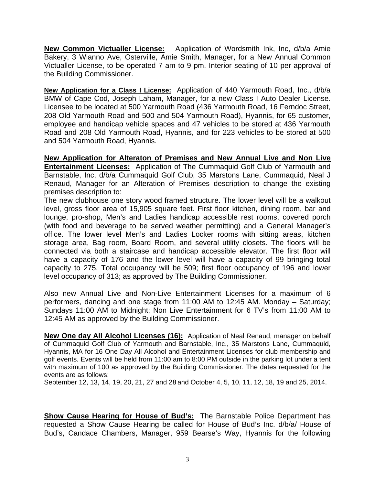**New Common Victualler License:** Application of Wordsmith Ink, Inc, d/b/a Amie Bakery, 3 Wianno Ave, Osterville, Amie Smith, Manager, for a New Annual Common Victualler License, to be operated 7 am to 9 pm. Interior seating of 10 per approval of the Building Commissioner.

**New Application for a Class I License:** Application of 440 Yarmouth Road, Inc., d/b/a BMW of Cape Cod, Joseph Laham, Manager, for a new Class I Auto Dealer License. Licensee to be located at 500 Yarmouth Road (436 Yarmouth Road, 16 Ferndoc Street, 208 Old Yarmouth Road and 500 and 504 Yarmouth Road), Hyannis, for 65 customer, employee and handicap vehicle spaces and 47 vehicles to be stored at 436 Yarmouth Road and 208 Old Yarmouth Road, Hyannis, and for 223 vehicles to be stored at 500 and 504 Yarmouth Road, Hyannis.

**New Application for Alteraton of Premises and New Annual Live and Non Live Entertainment Licenses:** Application of The Cummaquid Golf Club of Yarmouth and Barnstable, Inc, d/b/a Cummaquid Golf Club, 35 Marstons Lane, Cummaquid, Neal J Renaud, Manager for an Alteration of Premises description to change the existing premises description to:

The new clubhouse one story wood framed structure. The lower level will be a walkout level, gross floor area of 15,905 square feet. First floor kitchen, dining room, bar and lounge, pro-shop, Men's and Ladies handicap accessible rest rooms, covered porch (with food and beverage to be served weather permitting) and a General Manager's office. The lower level Men's and Ladies Locker rooms with sitting areas, kitchen storage area, Bag room, Board Room, and several utility closets. The floors will be connected via both a staircase and handicap accessible elevator. The first floor will have a capacity of 176 and the lower level will have a capacity of 99 bringing total capacity to 275. Total occupancy will be 509; first floor occupancy of 196 and lower level occupancy of 313; as approved by The Building Commissioner.

Also new Annual Live and Non-Live Entertainment Licenses for a maximum of 6 performers, dancing and one stage from 11:00 AM to 12:45 AM. Monday – Saturday; Sundays 11:00 AM to Midnight; Non Live Entertainment for 6 TV's from 11:00 AM to 12:45 AM as approved by the Building Commissioner.

**New One day All Alcohol Licenses (16):** Application of Neal Renaud, manager on behalf of Cummaquid Golf Club of Yarmouth and Barnstable, Inc., 35 Marstons Lane, Cummaquid, Hyannis, MA for 16 One Day All Alcohol and Entertainment Licenses for club membership and golf events. Events will be held from 11:00 am to 8:00 PM outside in the parking lot under a tent with maximum of 100 as approved by the Building Commissioner. The dates requested for the events are as follows:

September 12, 13, 14, 19, 20, 21, 27 and 28 and October 4, 5, 10, 11, 12, 18, 19 and 25, 2014.

**Show Cause Hearing for House of Bud's:** The Barnstable Police Department has requested a Show Cause Hearing be called for House of Bud's Inc. d/b/a/ House of Bud's, Candace Chambers, Manager, 959 Bearse's Way, Hyannis for the following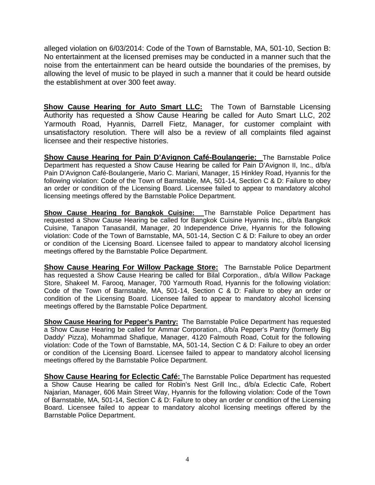alleged violation on 6/03/2014: Code of the Town of Barnstable, MA, 501-10, Section B: No entertainment at the licensed premises may be conducted in a manner such that the noise from the entertainment can be heard outside the boundaries of the premises, by allowing the level of music to be played in such a manner that it could be heard outside the establishment at over 300 feet away.

**Show Cause Hearing for Auto Smart LLC:** The Town of Barnstable Licensing Authority has requested a Show Cause Hearing be called for Auto Smart LLC, 202 Yarmouth Road, Hyannis, Darrell Fietz, Manager, for customer complaint with unsatisfactory resolution. There will also be a review of all complaints filed against licensee and their respective histories.

**Show Cause Hearing for Pain D'Avignon Café-Boulangerie:** The Barnstable Police Department has requested a Show Cause Hearing be called for Pain D'Avignon II, Inc., d/b/a Pain D'Avignon Café-Boulangerie, Mario C. Mariani, Manager, 15 Hinkley Road, Hyannis for the following violation: Code of the Town of Barnstable, MA, 501-14, Section C & D: Failure to obey an order or condition of the Licensing Board. Licensee failed to appear to mandatory alcohol licensing meetings offered by the Barnstable Police Department.

**Show Cause Hearing for Bangkok Cuisine:** The Barnstable Police Department has requested a Show Cause Hearing be called for Bangkok Cuisine Hyannis Inc., d/b/a Bangkok Cuisine, Tanapon Tanasandil, Manager, 20 Independence Drive, Hyannis for the following violation: Code of the Town of Barnstable, MA, 501-14, Section C & D: Failure to obey an order or condition of the Licensing Board. Licensee failed to appear to mandatory alcohol licensing meetings offered by the Barnstable Police Department.

**Show Cause Hearing For Willow Package Store:** The Barnstable Police Department has requested a Show Cause Hearing be called for Bilal Corporation., d/b/a Willow Package Store, Shakeel M. Farooq, Manager, 700 Yarmouth Road, Hyannis for the following violation: Code of the Town of Barnstable, MA, 501-14, Section C & D: Failure to obey an order or condition of the Licensing Board. Licensee failed to appear to mandatory alcohol licensing meetings offered by the Barnstable Police Department.

**Show Cause Hearing for Pepper's Pantry:** The Barnstable Police Department has requested a Show Cause Hearing be called for Ammar Corporation., d/b/a Pepper's Pantry (formerly Big Daddy' Pizza), Mohammad Shafique, Manager, 4120 Falmouth Road, Cotuit for the following violation: Code of the Town of Barnstable, MA, 501-14, Section C & D: Failure to obey an order or condition of the Licensing Board. Licensee failed to appear to mandatory alcohol licensing meetings offered by the Barnstable Police Department.

**Show Cause Hearing for Eclectic Café:** The Barnstable Police Department has requested a Show Cause Hearing be called for Robin's Nest Grill Inc., d/b/a Eclectic Cafe, Robert Najarian, Manager, 606 Main Street Way, Hyannis for the following violation: Code of the Town of Barnstable, MA, 501-14, Section C & D: Failure to obey an order or condition of the Licensing Board. Licensee failed to appear to mandatory alcohol licensing meetings offered by the Barnstable Police Department.